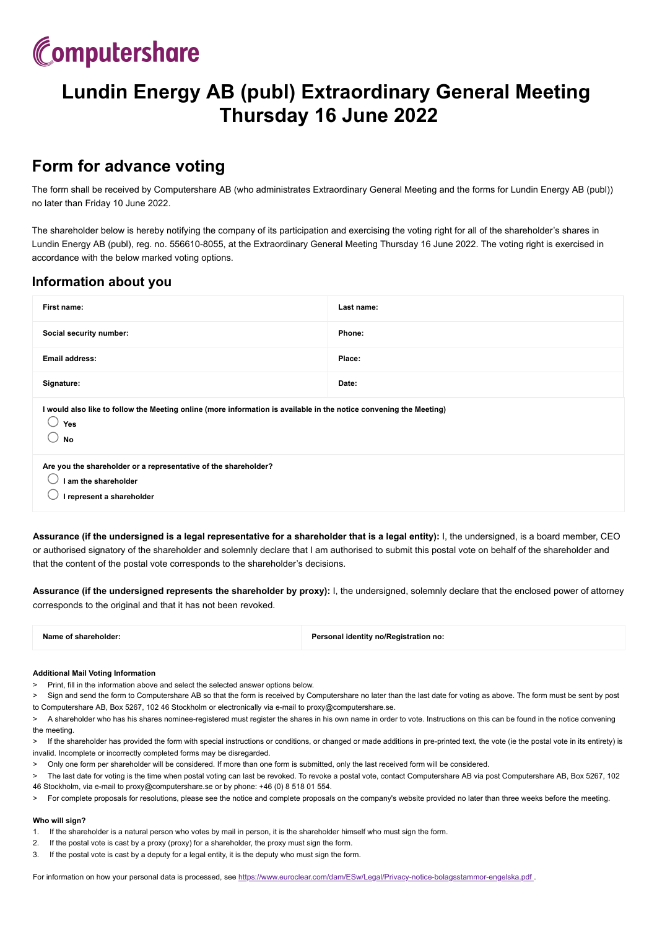

# **Lundin Energy AB (publ) Extraordinary General Meeting Thursday 16 June 2022**

### **Form for advance voting**

The form shall be received by Computershare AB (who administrates Extraordinary General Meeting and the forms for Lundin Energy AB (publ)) no later than Friday 10 June 2022.

The shareholder below is hereby notifying the company of its participation and exercising the voting right for all of the shareholder's shares in Lundin Energy AB (publ), reg. no. 556610-8055, at the Extraordinary General Meeting Thursday 16 June 2022. The voting right is exercised in accordance with the below marked voting options.

### **Information about you**

| First name:                                                                                                                            | Last name: |  |
|----------------------------------------------------------------------------------------------------------------------------------------|------------|--|
| Social security number:                                                                                                                | Phone:     |  |
| <b>Email address:</b>                                                                                                                  | Place:     |  |
| Signature:                                                                                                                             | Date:      |  |
| I would also like to follow the Meeting online (more information is available in the notice convening the Meeting)<br>Yes<br><b>No</b> |            |  |
| Are you the shareholder or a representative of the shareholder?<br>I am the shareholder<br>I represent a shareholder                   |            |  |

**Assurance (if the undersigned is a legal representative for a shareholder that is a legal entity):** I, the undersigned, is a board member, CEO or authorised signatory of the shareholder and solemnly declare that I am authorised to submit this postal vote on behalf of the shareholder and that the content of the postal vote corresponds to the shareholder's decisions.

**Assurance (if the undersigned represents the shareholder by proxy):** I, the undersigned, solemnly declare that the enclosed power of attorney corresponds to the original and that it has not been revoked.

**Name of shareholder: Personal identity no/Registration no:**

#### **Additional Mail Voting Information**

- > Print, fill in the information above and select the selected answer options below.
- Sign and send the form to Computershare AB so that the form is received by Computershare no later than the last date for voting as above. The form must be sent by post to Computershare AB, Box 5267, 102 46 Stockholm or electronically via e-mail to proxy@computershare.se.
- A shareholder who has his shares nominee-registered must register the shares in his own name in order to vote. Instructions on this can be found in the notice convening the meeting.
- > If the shareholder has provided the form with special instructions or conditions, or changed or made additions in pre-printed text, the vote (ie the postal vote in its entirety) is invalid. Incomplete or incorrectly completed forms may be disregarded.
- > Only one form per shareholder will be considered. If more than one form is submitted, only the last received form will be considered.
- The last date for voting is the time when postal voting can last be revoked. To revoke a postal vote, contact Computershare AB via post Computershare AB, Box 5267, 102 46 Stockholm, via e-mail to proxy@computershare.se or by phone: +46 (0) 8 518 01 554.
- > For complete proposals for resolutions, please see the notice and complete proposals on the company's website provided no later than three weeks before the meeting.

#### **Who will sign?**

- 1. If the shareholder is a natural person who votes by mail in person, it is the shareholder himself who must sign the form.
- 2. If the postal vote is cast by a proxy (proxy) for a shareholder, the proxy must sign the form.
- 3. If the postal vote is cast by a deputy for a legal entity, it is the deputy who must sign the form.

For information on how your personal data is processed, see <https://www.euroclear.com/dam/ESw/Legal/Privacy-notice-bolagsstammor-engelska.pdf>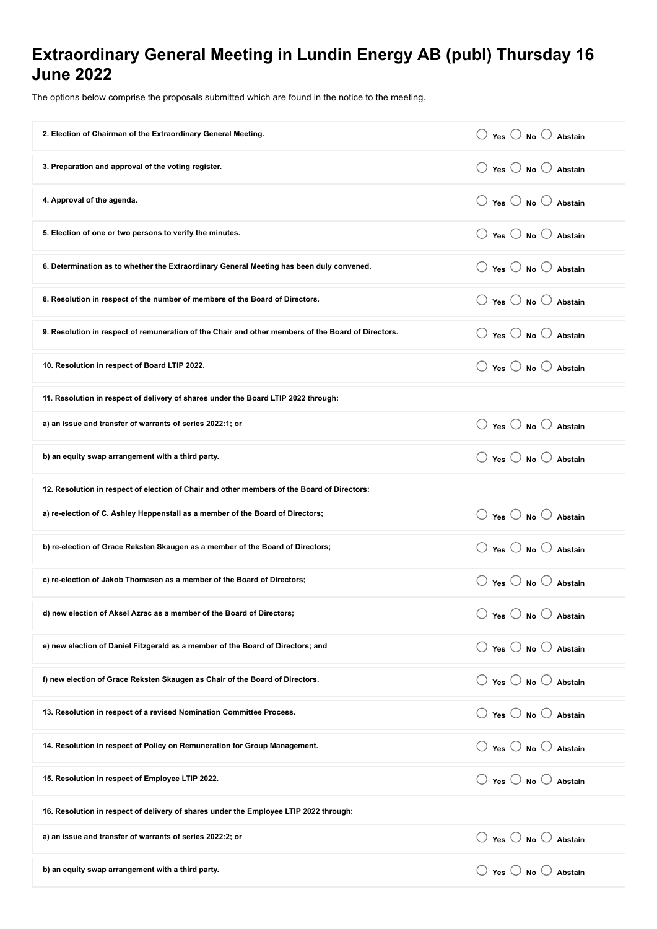## **Extraordinary General Meeting in Lundin Energy AB (publ) Thursday 16 June 2022**

The options below comprise the proposals submitted which are found in the notice to the meeting.

| 2. Election of Chairman of the Extraordinary General Meeting.                                      | $\bigcirc$ Yes $\bigcirc$ No $\bigcirc$ Abstain |  |
|----------------------------------------------------------------------------------------------------|-------------------------------------------------|--|
| 3. Preparation and approval of the voting register.                                                | $\bigcirc$ Yes $\bigcirc$ No $\bigcirc$ Abstain |  |
| 4. Approval of the agenda.                                                                         | $\bigcirc$ Yes $\bigcirc$ No $\bigcirc$ Abstain |  |
| 5. Election of one or two persons to verify the minutes.                                           | $\bigcirc$ Yes $\bigcirc$ No $\bigcirc$ Abstain |  |
| 6. Determination as to whether the Extraordinary General Meeting has been duly convened.           | $\bigcirc$ Yes $\bigcirc$ No $\bigcirc$ Abstain |  |
| 8. Resolution in respect of the number of members of the Board of Directors.                       | $\bigcirc$ Yes $\bigcirc$ No $\bigcirc$ Abstain |  |
| 9. Resolution in respect of remuneration of the Chair and other members of the Board of Directors. | $\bigcirc$ Yes $\bigcirc$ No $\bigcirc$ Abstain |  |
| 10. Resolution in respect of Board LTIP 2022.                                                      | $\bigcirc$ Yes $\bigcirc$ No $\bigcirc$ Abstain |  |
| 11. Resolution in respect of delivery of shares under the Board LTIP 2022 through:                 |                                                 |  |
| a) an issue and transfer of warrants of series 2022:1; or                                          | $\bigcirc$ Yes $\bigcirc$ No $\bigcirc$ Abstain |  |
| b) an equity swap arrangement with a third party.                                                  | ○ Yes ○ No ○ Abstain                            |  |
| 12. Resolution in respect of election of Chair and other members of the Board of Directors:        |                                                 |  |
| a) re-election of C. Ashley Heppenstall as a member of the Board of Directors;                     | $\bigcirc$ Yes $\bigcirc$ No $\bigcirc$ Abstain |  |
| b) re-election of Grace Reksten Skaugen as a member of the Board of Directors;                     | $\bigcirc$ Yes $\bigcirc$ No $\bigcirc$ Abstain |  |
| c) re-election of Jakob Thomasen as a member of the Board of Directors;                            | $\bigcirc$ Yes $\bigcirc$ No $\bigcirc$ Abstain |  |
| d) new election of Aksel Azrac as a member of the Board of Directors;                              | $\bigcirc$ Yes $\bigcirc$ No $\bigcirc$ Abstain |  |
| e) new election of Daniel Fitzgerald as a member of the Board of Directors; and                    | $\bigcirc$ Yes $\bigcirc$ No $\bigcirc$ Abstain |  |
| f) new election of Grace Reksten Skaugen as Chair of the Board of Directors.                       | $\bigcirc$ Yes $\bigcirc$ No $\bigcirc$ Abstain |  |
| 13. Resolution in respect of a revised Nomination Committee Process.                               | $\bigcirc$ Yes $\bigcirc$ No $\bigcirc$ Abstain |  |
| 14. Resolution in respect of Policy on Remuneration for Group Management.                          | $\bigcirc$ Yes $\bigcirc$ No $\bigcirc$ Abstain |  |
| 15. Resolution in respect of Employee LTIP 2022.                                                   | $\bigcirc$ Yes $\bigcirc$ No $\bigcirc$ Abstain |  |
| 16. Resolution in respect of delivery of shares under the Employee LTIP 2022 through:              |                                                 |  |
| a) an issue and transfer of warrants of series 2022:2; or                                          | $\bigcirc$ Yes $\bigcirc$ No $\bigcirc$ Abstain |  |
| b) an equity swap arrangement with a third party.                                                  | $\bigcirc$ Yes $\bigcirc$ No $\bigcirc$ Abstain |  |